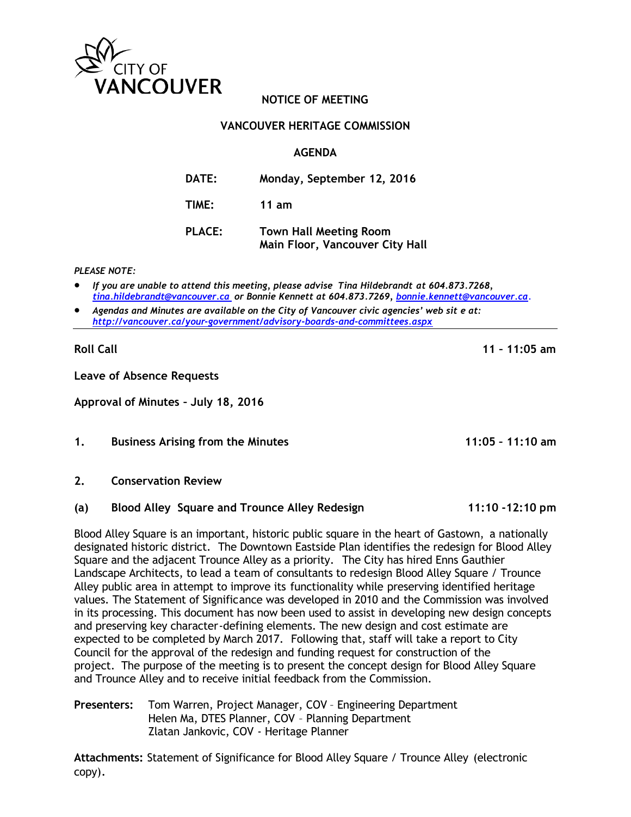

# **NOTICE OF MEETING**

## **VANCOUVER HERITAGE COMMISSION**

## **AGENDA**

**DATE: Monday, September 12, 2016 TIME: 11 am PLACE: Town Hall Meeting Room Main Floor, Vancouver City Hall**

*PLEASE NOTE:*

• *If you are unable to attend this meeting, please advise Tina Hildebrandt at 604.873.7268, [tina.hildebrandt@vancouver.ca](mailto:tina.hildebrandt@vancouver.ca) or Bonnie Kennett at 604.873.7269, [bonnie.kennett@vancouve](mailto:bonnie.kennett@vancouv)r.ca*.

• *Agendas and Minutes are available on the City of Vancouver civic agencies' web sit e at: <http://vancouver.ca/your-government/advisory-boards-and-committees.aspx>*

**Roll Call 11 – 11:05 am**

**Leave of Absence Requests**

**Approval of Minutes – July 18, 2016**

#### **1. Business Arising from the Minutes 11:05 – 11:10 am**

#### **2. Conservation Review**

## **(a) Blood Alley Square and Trounce Alley Redesign 11:10 -12:10 pm**

Blood Alley Square is an important, historic public square in the heart of Gastown, a nationally designated historic district. The Downtown Eastside Plan identifies the redesign for Blood Alley Square and the adjacent Trounce Alley as a priority. The City has hired Enns Gauthier Landscape Architects, to lead a team of consultants to redesign Blood Alley Square / Trounce Alley public area in attempt to improve its functionality while preserving identified heritage values. The Statement of Significance was developed in 2010 and the Commission was involved in its processing. This document has now been used to assist in developing new design concepts and preserving key character-defining elements. The new design and cost estimate are expected to be completed by March 2017. Following that, staff will take a report to City Council for the approval of the redesign and funding request for construction of the project. The purpose of the meeting is to present the concept design for Blood Alley Square and Trounce Alley and to receive initial feedback from the Commission.

**Presenters:** Tom Warren, Project Manager, COV – Engineering Department Helen Ma, DTES Planner, COV – Planning Department Zlatan Jankovic, COV - Heritage Planner

**Attachments:** Statement of Significance for Blood Alley Square / Trounce Alley (electronic copy).